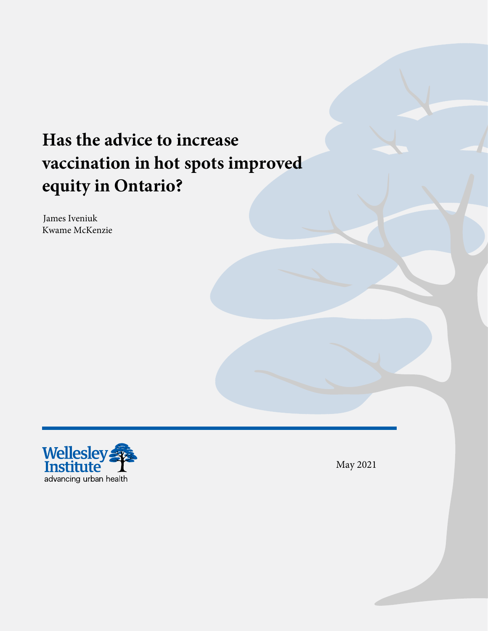# **Has the advice to increase vaccination in hot spots improved equity in Ontario?**

James Iveniuk Kwame McKenzie



May 2021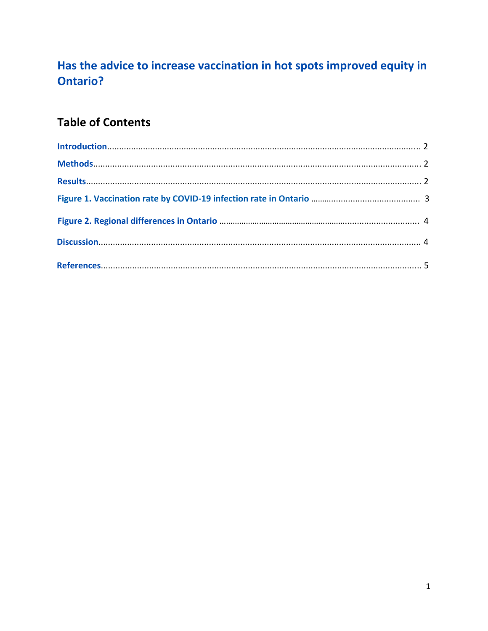## Has the advice to increase vaccination in hot spots improved equity in **Ontario?**

## **Table of Contents**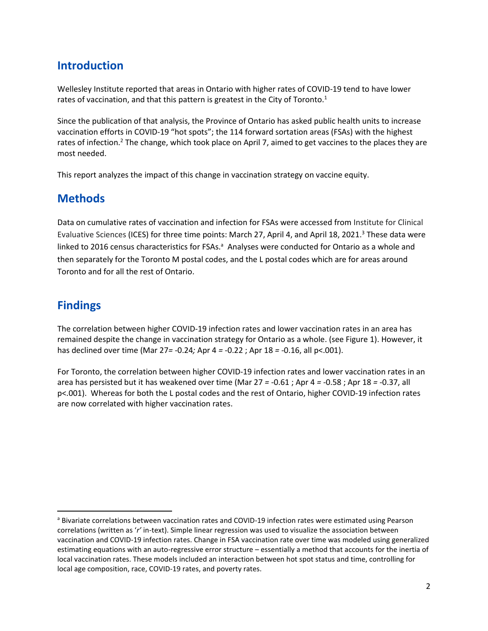#### **Introduction**

Wellesley Institute reported that areas in Ontario with higher rates of COVID-19 tend to have lower rates of vaccination, and that this pattern is greatest in the City of Toronto. $1$ 

Since the publication of that analysis, the Province of Ontario has asked public health units to increase vaccination efforts in COVID-19 "hot spots"; the 114 forward sortation areas (FSAs) with the highest rates of infection.<sup>2</sup> The change, which took place on April 7, aimed to get vaccines to the places they are most needed.

This report analyzes the impact of this change in vaccination strategy on vaccine equity.

#### **Methods**

Data on cumulative rates of vaccination and infection for FSAs were accessed from Institute for Clinical Evaluative Sciences (ICES) for three time points: March 27, April 4, and April 18, 2021.<sup>3</sup> These data were linked to 2016 census characteristics for FSAs.<sup>a</sup> Analyses were conducted for Ontario as a whole and then separately for the Toronto M postal codes, and the L postal codes which are for areas around Toronto and for all the rest of Ontario.

#### **Findings**

The correlation between higher COVID-19 infection rates and lower vaccination rates in an area has remained despite the change in vaccination strategy for Ontario as a whole. (see Figure 1). However, it has declined over time (Mar 27*=* -0.24*;* Apr 4 *=* -0.22 ; Apr 18 *=* -0.16, all p<.001).

For Toronto, the correlation between higher COVID-19 infection rates and lower vaccination rates in an area has persisted but it has weakened over time (Mar 27 *=* -0.61 ; Apr 4 *=* -0.58 ; Apr 18 *=* -0.37, all p<.001). Whereas for both the L postal codes and the rest of Ontario, higher COVID-19 infection rates are now correlated with higher vaccination rates.

a Bivariate correlations between vaccination rates and COVID-19 infection rates were estimated using Pearson correlations (written as '*r'* in-text). Simple linear regression was used to visualize the association between vaccination and COVID-19 infection rates. Change in FSA vaccination rate over time was modeled using generalized estimating equations with an auto-regressive error structure – essentially a method that accounts for the inertia of local vaccination rates. These models included an interaction between hot spot status and time, controlling for local age composition, race, COVID-19 rates, and poverty rates.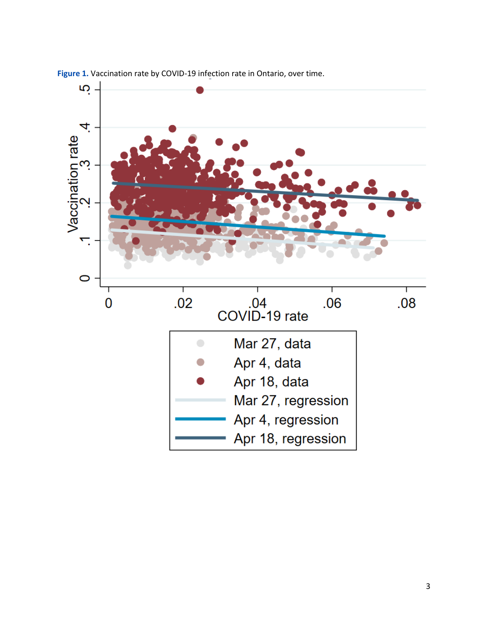

**Figure 1.** Vaccination rate by COVID-19 infection rate in Ontario, over time.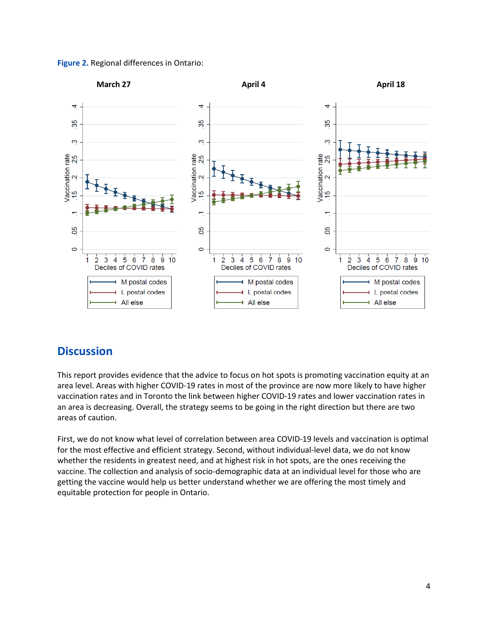



#### **Discussion**

This report provides evidence that the advice to focus on hot spots is promoting vaccination equity at an area level. Areas with higher COVID-19 rates in most of the province are now more likely to have higher vaccination rates and in Toronto the link between higher COVID-19 rates and lower vaccination rates in an area is decreasing. Overall, the strategy seems to be going in the right direction but there are two areas of caution.

First, we do not know what level of correlation between area COVID-19 levels and vaccination is optimal for the most effective and efficient strategy. Second, without individual-level data, we do not know whether the residents in greatest need, and at highest risk in hot spots, are the ones receiving the vaccine. The collection and analysis of socio-demographic data at an individual level for those who are getting the vaccine would help us better understand whether we are offering the most timely and equitable protection for people in Ontario.